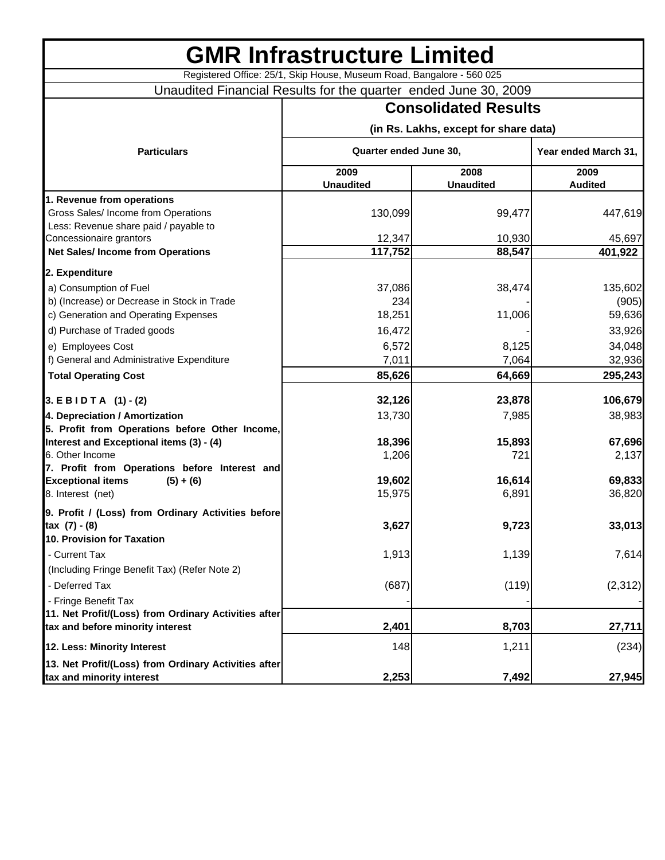| <b>GMR Infrastructure Limited</b>                                                                 |                                                                       |                          |                        |  |
|---------------------------------------------------------------------------------------------------|-----------------------------------------------------------------------|--------------------------|------------------------|--|
|                                                                                                   | Registered Office: 25/1, Skip House, Museum Road, Bangalore - 560 025 |                          |                        |  |
|                                                                                                   | Unaudited Financial Results for the quarter ended June 30, 2009       |                          |                        |  |
|                                                                                                   | <b>Consolidated Results</b>                                           |                          |                        |  |
|                                                                                                   | (in Rs. Lakhs, except for share data)                                 |                          |                        |  |
| <b>Particulars</b>                                                                                | Quarter ended June 30,                                                |                          | Year ended March 31,   |  |
|                                                                                                   | 2009<br><b>Unaudited</b>                                              | 2008<br><b>Unaudited</b> | 2009<br><b>Audited</b> |  |
| 1. Revenue from operations                                                                        |                                                                       |                          |                        |  |
| Gross Sales/ Income from Operations<br>Less: Revenue share paid / payable to                      | 130,099                                                               | 99,477                   | 447,619                |  |
| Concessionaire grantors<br><b>Net Sales/Income from Operations</b>                                | 12,347<br>117,752                                                     | 10,930<br>88,547         | 45,697<br>401,922      |  |
|                                                                                                   |                                                                       |                          |                        |  |
| 2. Expenditure                                                                                    |                                                                       |                          |                        |  |
| a) Consumption of Fuel                                                                            | 37,086                                                                | 38,474                   | 135,602                |  |
| b) (Increase) or Decrease in Stock in Trade<br>c) Generation and Operating Expenses               | 234<br>18,251                                                         | 11,006                   | (905)<br>59,636        |  |
| d) Purchase of Traded goods                                                                       | 16,472                                                                |                          | 33,926                 |  |
| e) Employees Cost                                                                                 | 6,572                                                                 | 8,125                    | 34,048                 |  |
| f) General and Administrative Expenditure                                                         | 7,011                                                                 | 7,064                    | 32,936                 |  |
| <b>Total Operating Cost</b>                                                                       | 85,626                                                                | 64,669                   | 295,243                |  |
| $3. E$ B I D T A $(1) - (2)$                                                                      | 32,126                                                                | 23,878                   | 106,679                |  |
|                                                                                                   | 13,730                                                                | 7,985                    |                        |  |
| 4. Depreciation / Amortization<br>5. Profit from Operations before Other Income,                  |                                                                       |                          | 38,983                 |  |
| Interest and Exceptional items (3) - (4)                                                          | 18,396                                                                | 15,893                   | 67,696                 |  |
| 6. Other Income                                                                                   | 1,206                                                                 | 721                      | 2,137                  |  |
| 7. Profit from Operations before Interest and                                                     |                                                                       |                          |                        |  |
| <b>Exceptional items</b><br>$(5) + (6)$                                                           | 19,602                                                                | 16,614                   | 69,833                 |  |
| 8. Interest (net)                                                                                 | 15,975                                                                | 6,891                    | 36,820                 |  |
| 9. Profit / (Loss) from Ordinary Activities before<br>tax (7) - (8)<br>10. Provision for Taxation | 3,627                                                                 | 9,723                    | 33,013                 |  |
| - Current Tax                                                                                     | 1,913                                                                 | 1,139                    | 7,614                  |  |
| (Including Fringe Benefit Tax) (Refer Note 2)<br>- Deferred Tax                                   | (687)                                                                 | (119)                    | (2,312)                |  |
| - Fringe Benefit Tax                                                                              |                                                                       |                          |                        |  |
| 11. Net Profit/(Loss) from Ordinary Activities after<br>tax and before minority interest          | 2,401                                                                 | 8,703                    | 27,711                 |  |
| 12. Less: Minority Interest                                                                       | 148                                                                   | 1,211                    | (234)                  |  |
| 13. Net Profit/(Loss) from Ordinary Activities after<br>tax and minority interest                 | 2,253                                                                 | 7,492                    | 27,945                 |  |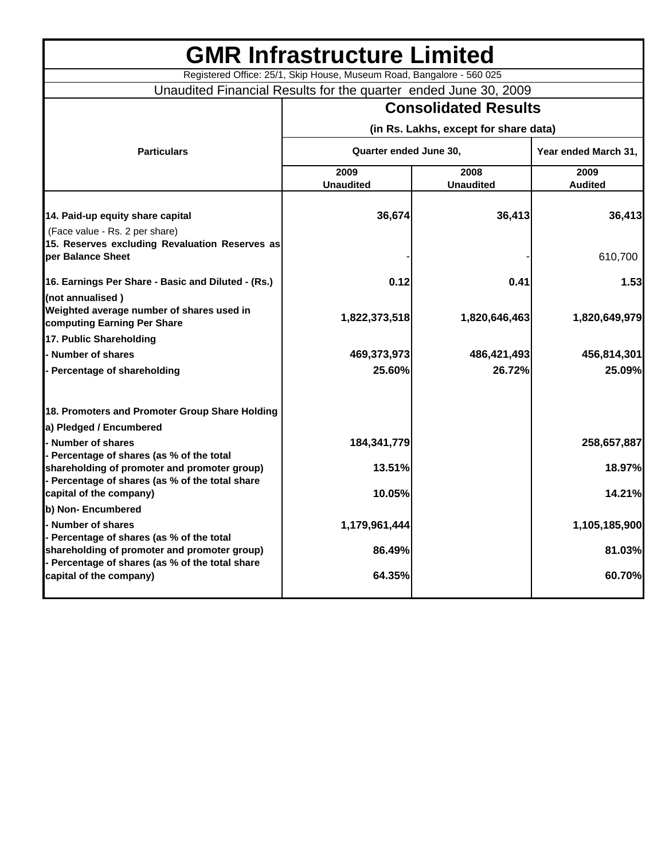|                                                                                                 | <b>GMR Infrastructure Limited</b>                                     |                  |                      |
|-------------------------------------------------------------------------------------------------|-----------------------------------------------------------------------|------------------|----------------------|
|                                                                                                 | Registered Office: 25/1, Skip House, Museum Road, Bangalore - 560 025 |                  |                      |
| Unaudited Financial Results for the quarter ended June 30, 2009                                 |                                                                       |                  |                      |
|                                                                                                 | <b>Consolidated Results</b><br>(in Rs. Lakhs, except for share data)  |                  |                      |
|                                                                                                 |                                                                       |                  |                      |
| <b>Particulars</b>                                                                              | Quarter ended June 30,                                                |                  | Year ended March 31, |
|                                                                                                 | 2009                                                                  | 2008             | 2009                 |
|                                                                                                 | <b>Unaudited</b>                                                      | <b>Unaudited</b> | <b>Audited</b>       |
| 14. Paid-up equity share capital                                                                | 36,674                                                                | 36,413           | 36,413               |
| (Face value - Rs. 2 per share)                                                                  |                                                                       |                  |                      |
| 15. Reserves excluding Revaluation Reserves as                                                  |                                                                       |                  |                      |
| per Balance Sheet                                                                               |                                                                       |                  | 610,700              |
| 16. Earnings Per Share - Basic and Diluted - (Rs.)                                              | 0.12                                                                  | 0.41             | 1.53                 |
| (not annualised)                                                                                |                                                                       |                  |                      |
| Weighted average number of shares used in                                                       | 1,822,373,518                                                         | 1,820,646,463    | 1,820,649,979        |
| computing Earning Per Share                                                                     |                                                                       |                  |                      |
| 17. Public Shareholding                                                                         |                                                                       |                  |                      |
| Number of shares                                                                                | 469,373,973                                                           | 486,421,493      | 456,814,301          |
| - Percentage of shareholding                                                                    | 25.60%                                                                | 26.72%           | 25.09%               |
| 18. Promoters and Promoter Group Share Holding                                                  |                                                                       |                  |                      |
| a) Pledged / Encumbered                                                                         |                                                                       |                  |                      |
| - Number of shares                                                                              | 184, 341, 779                                                         |                  | 258,657,887          |
| - Percentage of shares (as % of the total                                                       |                                                                       |                  |                      |
| shareholding of promoter and promoter group)<br>- Percentage of shares (as % of the total share | 13.51%                                                                |                  | 18.97%               |
| capital of the company)                                                                         | 10.05%                                                                |                  | 14.21%               |
| b) Non- Encumbered                                                                              |                                                                       |                  |                      |
| - Number of shares                                                                              | 1,179,961,444                                                         |                  | 1,105,185,900        |
| - Percentage of shares (as % of the total                                                       |                                                                       |                  |                      |
| shareholding of promoter and promoter group)<br>- Percentage of shares (as % of the total share | 86.49%                                                                |                  | 81.03%               |
| capital of the company)                                                                         | 64.35%                                                                |                  | 60.70%               |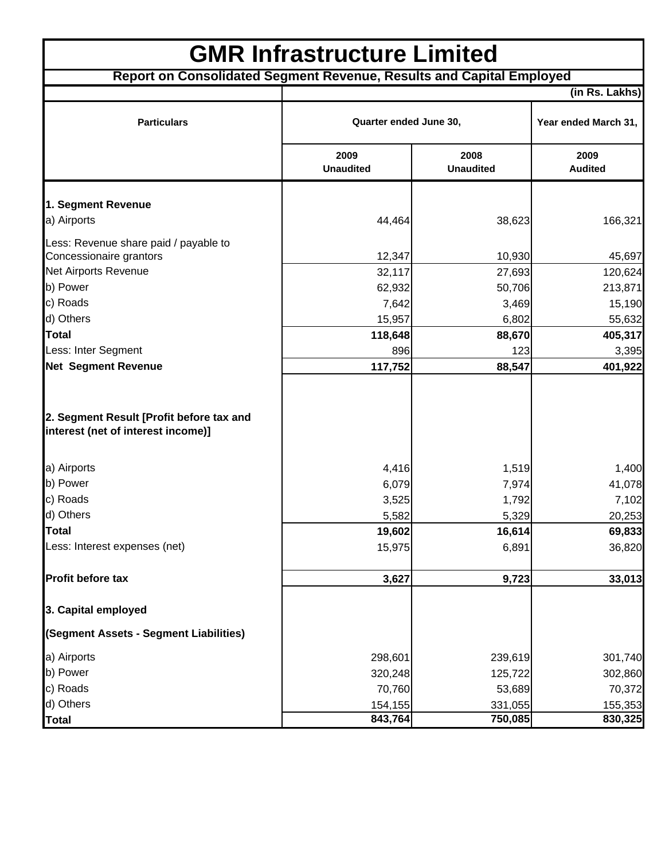| <b>GMR Infrastructure Limited</b>                                              |                          |                          |                        |  |  |
|--------------------------------------------------------------------------------|--------------------------|--------------------------|------------------------|--|--|
| Report on Consolidated Segment Revenue, Results and Capital Employed           |                          |                          |                        |  |  |
|                                                                                |                          |                          | (in Rs. Lakhs)         |  |  |
| <b>Particulars</b>                                                             | Quarter ended June 30,   |                          | Year ended March 31,   |  |  |
|                                                                                | 2009<br><b>Unaudited</b> | 2008<br><b>Unaudited</b> | 2009<br><b>Audited</b> |  |  |
| 1. Segment Revenue                                                             |                          |                          |                        |  |  |
| a) Airports                                                                    | 44,464                   | 38,623                   | 166,321                |  |  |
| Less: Revenue share paid / payable to                                          |                          |                          |                        |  |  |
| Concessionaire grantors                                                        | 12,347                   | 10,930                   | 45,697                 |  |  |
| Net Airports Revenue                                                           | 32,117                   | 27,693                   | 120,624                |  |  |
| b) Power                                                                       | 62,932                   | 50,706                   | 213,871                |  |  |
| c) Roads                                                                       | 7,642                    | 3,469                    | 15,190                 |  |  |
| d) Others                                                                      | 15,957                   | 6,802                    | 55,632                 |  |  |
| <b>Total</b>                                                                   | 118,648                  | 88,670                   | 405,317                |  |  |
| Less: Inter Segment                                                            | 896                      | 123                      | 3,395                  |  |  |
| <b>Net Segment Revenue</b>                                                     | 117,752                  | 88,547                   | 401,922                |  |  |
| 2. Segment Result [Profit before tax and<br>interest (net of interest income)] |                          |                          |                        |  |  |
| a) Airports                                                                    | 4,416                    | 1,519                    | 1,400                  |  |  |
| b) Power                                                                       | 6,079                    | 7,974                    | 41,078                 |  |  |
| c) Roads                                                                       | 3,525                    | 1,792                    | 7,102                  |  |  |
| d) Others                                                                      | 5,582                    | 5,329                    | 20,253                 |  |  |
| <b>Total</b>                                                                   | 19,602                   | 16,614                   | 69,833                 |  |  |
| Less: Interest expenses (net)                                                  | 15,975                   | 6,891                    | 36,820                 |  |  |
| Profit before tax                                                              | 3,627                    | 9,723                    | 33,013                 |  |  |
| 3. Capital employed                                                            |                          |                          |                        |  |  |
| (Segment Assets - Segment Liabilities)                                         |                          |                          |                        |  |  |
| a) Airports                                                                    | 298,601                  | 239,619                  | 301,740                |  |  |
| b) Power                                                                       | 320,248                  | 125,722                  | 302,860                |  |  |
| c) Roads                                                                       | 70,760                   | 53,689                   | 70,372                 |  |  |
| d) Others                                                                      | 154,155                  | 331,055                  | 155,353                |  |  |
| <b>Total</b>                                                                   | 843,764                  | 750,085                  | 830,325                |  |  |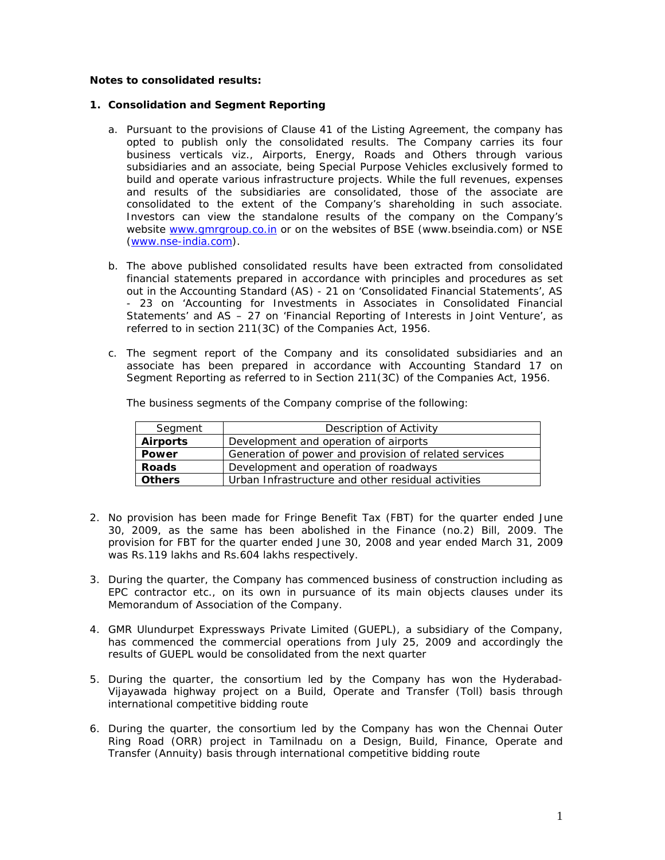## **Notes to consolidated results:**

## **1. Consolidation and Segment Reporting**

- a. Pursuant to the provisions of Clause 41 of the Listing Agreement, the company has opted to publish only the consolidated results. The Company carries its four business verticals viz., Airports, Energy, Roads and Others through various subsidiaries and an associate, being Special Purpose Vehicles exclusively formed to build and operate various infrastructure projects. While the full revenues, expenses and results of the subsidiaries are consolidated, those of the associate are consolidated to the extent of the Company's shareholding in such associate. Investors can view the standalone results of the company on the Company's website www.gmrgroup.co.in or on the websites of BSE (www.bseindia.com) or NSE (www.nse-india.com).
- b. The above published consolidated results have been extracted from consolidated financial statements prepared in accordance with principles and procedures as set out in the Accounting Standard (AS) - 21 on 'Consolidated Financial Statements', AS - 23 on 'Accounting for Investments in Associates in Consolidated Financial Statements' and AS – 27 on 'Financial Reporting of Interests in Joint Venture', as referred to in section 211(3C) of the Companies Act, 1956.
- c. The segment report of the Company and its consolidated subsidiaries and an associate has been prepared in accordance with Accounting Standard 17 on Segment Reporting as referred to in Section 211(3C) of the Companies Act, 1956.

| Segment         | Description of Activity                               |
|-----------------|-------------------------------------------------------|
| <b>Airports</b> | Development and operation of airports                 |
| Power           | Generation of power and provision of related services |
| <b>Roads</b>    | Development and operation of roadways                 |
| <b>Others</b>   | Urban Infrastructure and other residual activities    |

The business segments of the Company comprise of the following:

- 2. No provision has been made for Fringe Benefit Tax (FBT) for the quarter ended June 30, 2009, as the same has been abolished in the Finance (no.2) Bill, 2009. The provision for FBT for the quarter ended June 30, 2008 and year ended March 31, 2009 was Rs.119 lakhs and Rs.604 lakhs respectively.
- 3. During the quarter, the Company has commenced business of construction including as EPC contractor etc., on its own in pursuance of its main objects clauses under its Memorandum of Association of the Company.
- 4. GMR Ulundurpet Expressways Private Limited (GUEPL), a subsidiary of the Company, has commenced the commercial operations from July 25, 2009 and accordingly the results of GUEPL would be consolidated from the next quarter
- 5. During the quarter, the consortium led by the Company has won the Hyderabad-Vijayawada highway project on a Build, Operate and Transfer (Toll) basis through international competitive bidding route
- 6. During the quarter, the consortium led by the Company has won the Chennai Outer Ring Road (ORR) project in Tamilnadu on a Design, Build, Finance, Operate and Transfer (Annuity) basis through international competitive bidding route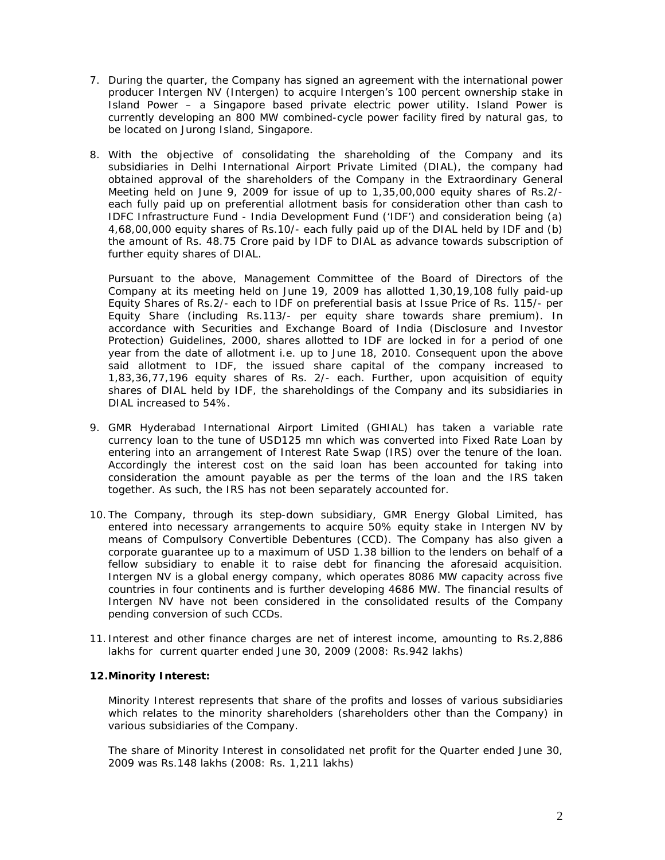- 7. During the quarter, the Company has signed an agreement with the international power producer Intergen NV (Intergen) to acquire Intergen's 100 percent ownership stake in Island Power – a Singapore based private electric power utility. Island Power is currently developing an 800 MW combined-cycle power facility fired by natural gas, to be located on Jurong Island, Singapore.
- 8. With the objective of consolidating the shareholding of the Company and its subsidiaries in Delhi International Airport Private Limited (DIAL), the company had obtained approval of the shareholders of the Company in the Extraordinary General Meeting held on June 9, 2009 for issue of up to 1,35,00,000 equity shares of Rs.2/ each fully paid up on preferential allotment basis for consideration other than cash to IDFC Infrastructure Fund - India Development Fund ('IDF') and consideration being (a) 4,68,00,000 equity shares of Rs.10/- each fully paid up of the DIAL held by IDF and (b) the amount of Rs. 48.75 Crore paid by IDF to DIAL as advance towards subscription of further equity shares of DIAL.

Pursuant to the above, Management Committee of the Board of Directors of the Company at its meeting held on June 19, 2009 has allotted 1,30,19,108 fully paid-up Equity Shares of Rs.2/- each to IDF on preferential basis at Issue Price of Rs. 115/- per Equity Share (including Rs.113/- per equity share towards share premium). In accordance with Securities and Exchange Board of India (Disclosure and Investor Protection) Guidelines, 2000, shares allotted to IDF are locked in for a period of one year from the date of allotment i.e. up to June 18, 2010. Consequent upon the above said allotment to IDF, the issued share capital of the company increased to 1,83,36,77,196 equity shares of Rs. 2/- each. Further, upon acquisition of equity shares of DIAL held by IDF, the shareholdings of the Company and its subsidiaries in DIAL increased to 54%.

- 9. GMR Hyderabad International Airport Limited (GHIAL) has taken a variable rate currency loan to the tune of USD125 mn which was converted into Fixed Rate Loan by entering into an arrangement of Interest Rate Swap (IRS) over the tenure of the loan. Accordingly the interest cost on the said loan has been accounted for taking into consideration the amount payable as per the terms of the loan and the IRS taken together. As such, the IRS has not been separately accounted for.
- 10. The Company, through its step-down subsidiary, GMR Energy Global Limited, has entered into necessary arrangements to acquire 50% equity stake in Intergen NV by means of Compulsory Convertible Debentures (CCD). The Company has also given a corporate guarantee up to a maximum of USD 1.38 billion to the lenders on behalf of a fellow subsidiary to enable it to raise debt for financing the aforesaid acquisition. Intergen NV is a global energy company, which operates 8086 MW capacity across five countries in four continents and is further developing 4686 MW. The financial results of Intergen NV have not been considered in the consolidated results of the Company pending conversion of such CCDs.
- 11. Interest and other finance charges are net of interest income, amounting to Rs.2,886 lakhs for current quarter ended June 30, 2009 (2008: Rs.942 lakhs)

## **12.Minority Interest:**

Minority Interest represents that share of the profits and losses of various subsidiaries which relates to the minority shareholders (shareholders other than the Company) in various subsidiaries of the Company.

The share of Minority Interest in consolidated net profit for the Quarter ended June 30, 2009 was Rs.148 lakhs (2008: Rs. 1,211 lakhs)